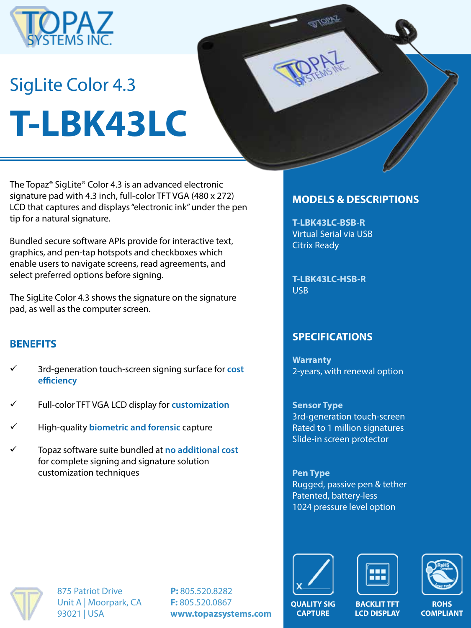

# SigLite Color 4.3 **T-LBK43LC**

The Topaz® SigLite® Color 4.3 is an advanced electronic signature pad with 4.3 inch, full-color TFT VGA (480 x 272) LCD that captures and displays "electronic ink" under the pen tip for a natural signature.

Bundled secure software APIs provide for interactive text, graphics, and pen-tap hotspots and checkboxes which enable users to navigate screens, read agreements, and select preferred options before signing.

The SigLite Color 4.3 shows the signature on the signature pad, as well as the computer screen.

# **BENEFITS**

- ü 3rd-generation touch-screen signing surface for **cost efficiency**
- ü Full-color TFT VGA LCD display for **customization**
- ü High-quality **biometric and forensic** capture
- ü Topaz software suite bundled at **no additional cost**  for complete signing and signature solution customization techniques

### **MODELS & DESCRIPTIONS**

**T-LBK43LC-BSB-R** Virtual Serial via USB Citrix Ready

**T-LBK43LC-HSB-R** USB

# **SPECIFICATIONS**

**Warranty** 2-years, with renewal option

**Sensor Type** 3rd-generation touch-screen Rated to 1 million signatures Slide-in screen protector

**Pen Type** Rugged, passive pen & tether Patented, battery-less 1024 pressure level option



875 Patriot Drive Unit A | Moorpark, CA 93021 | USA

**P:** 805.520.8282 **F:** 805.520.0867 **www.topazsystems.com**







**ROHS COMPLIANT**

**QUALITY SIG CAPTURE**

**BACKLIT TFT LCD DISPLAY**